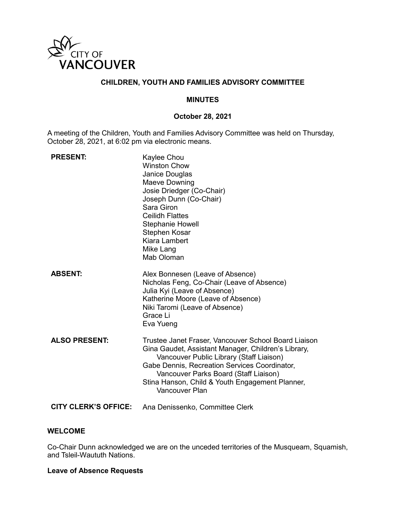

# **CHILDREN, YOUTH AND FAMILIES ADVISORY COMMITTEE**

#### **MINUTES**

### **October 28, 2021**

A meeting of the Children, Youth and Families Advisory Committee was held on Thursday, October 28, 2021, at 6:02 pm via electronic means.

| <b>PRESENT:</b>             | Kaylee Chou<br><b>Winston Chow</b><br>Janice Douglas<br>Maeve Downing<br>Josie Driedger (Co-Chair)<br>Joseph Dunn (Co-Chair)<br>Sara Giron<br><b>Ceilidh Flattes</b><br><b>Stephanie Howell</b><br>Stephen Kosar<br>Kiara Lambert<br>Mike Lang<br>Mab Oloman                                                           |
|-----------------------------|------------------------------------------------------------------------------------------------------------------------------------------------------------------------------------------------------------------------------------------------------------------------------------------------------------------------|
| <b>ABSENT:</b>              | Alex Bonnesen (Leave of Absence)<br>Nicholas Feng, Co-Chair (Leave of Absence)<br>Julia Kyi (Leave of Absence)<br>Katherine Moore (Leave of Absence)<br>Niki Taromi (Leave of Absence)<br>Grace Li<br>Eva Yueng                                                                                                        |
| <b>ALSO PRESENT:</b>        | Trustee Janet Fraser, Vancouver School Board Liaison<br>Gina Gaudet, Assistant Manager, Children's Library,<br>Vancouver Public Library (Staff Liaison)<br>Gabe Dennis, Recreation Services Coordinator,<br>Vancouver Parks Board (Staff Liaison)<br>Stina Hanson, Child & Youth Engagement Planner,<br>Vancouver Plan |
| <b>CITY CLERK'S OFFICE:</b> | Ana Denissenko, Committee Clerk                                                                                                                                                                                                                                                                                        |

#### **WELCOME**

Co-Chair Dunn acknowledged we are on the unceded territories of the Musqueam, Squamish, and Tsleil-Waututh Nations.

## **Leave of Absence Requests**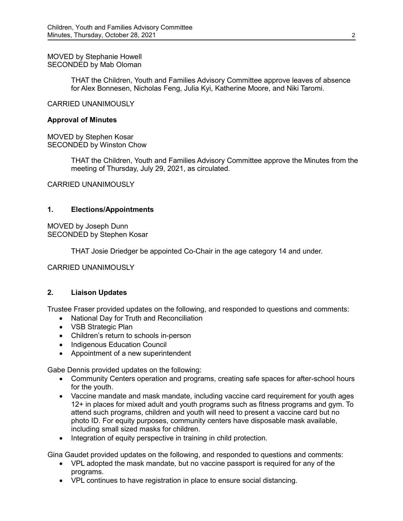MOVED by Stephanie Howell SECONDED by Mab Oloman

> THAT the Children, Youth and Families Advisory Committee approve leaves of absence for Alex Bonnesen, Nicholas Feng, Julia Kyi, Katherine Moore, and Niki Taromi.

CARRIED UNANIMOUSLY

#### **Approval of Minutes**

MOVED by Stephen Kosar SECONDED by Winston Chow

> THAT the Children, Youth and Families Advisory Committee approve the Minutes from the meeting of Thursday, July 29, 2021, as circulated.

CARRIED UNANIMOUSLY

### **1. Elections/Appointments**

MOVED by Joseph Dunn SECONDED by Stephen Kosar

THAT Josie Driedger be appointed Co-Chair in the age category 14 and under.

CARRIED UNANIMOUSLY

### **2. Liaison Updates**

Trustee Fraser provided updates on the following, and responded to questions and comments:

- National Day for Truth and Reconciliation
- VSB Strategic Plan
- Children's return to schools in-person
- Indigenous Education Council
- Appointment of a new superintendent

Gabe Dennis provided updates on the following:

- Community Centers operation and programs, creating safe spaces for after-school hours for the youth.
- Vaccine mandate and mask mandate, including vaccine card requirement for youth ages 12+ in places for mixed adult and youth programs such as fitness programs and gym. To attend such programs, children and youth will need to present a vaccine card but no photo ID. For equity purposes, community centers have disposable mask available, including small sized masks for children.
- Integration of equity perspective in training in child protection.

Gina Gaudet provided updates on the following, and responded to questions and comments:

- VPL adopted the mask mandate, but no vaccine passport is required for any of the programs.
- VPL continues to have registration in place to ensure social distancing.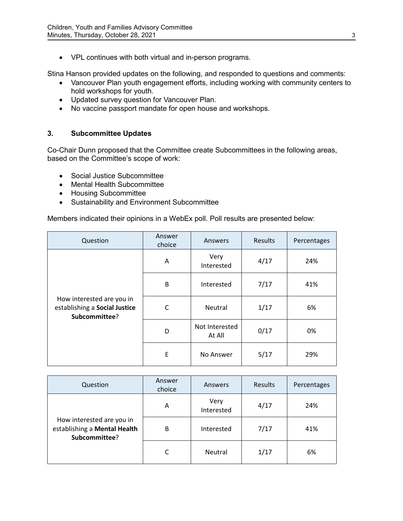• VPL continues with both virtual and in-person programs.

Stina Hanson provided updates on the following, and responded to questions and comments:

- Vancouver Plan youth engagement efforts, including working with community centers to hold workshops for youth.
- Updated survey question for Vancouver Plan.
- No vaccine passport mandate for open house and workshops.

## **3. Subcommittee Updates**

Co-Chair Dunn proposed that the Committee create Subcommittees in the following areas, based on the Committee's scope of work:

- Social Justice Subcommittee
- Mental Health Subcommittee
- Housing Subcommittee
- Sustainability and Environment Subcommittee

Members indicated their opinions in a WebEx poll. Poll results are presented below:

| Question                                                                    | Answer<br>choice | Answers                  | Results | Percentages |
|-----------------------------------------------------------------------------|------------------|--------------------------|---------|-------------|
| How interested are you in<br>establishing a Social Justice<br>Subcommittee? | A                | Very<br>Interested       | 4/17    | 24%         |
|                                                                             | B                | Interested               | 7/17    | 41%         |
|                                                                             | C                | Neutral                  | 1/17    | 6%          |
|                                                                             | D                | Not Interested<br>At All | 0/17    | 0%          |
|                                                                             | E                | No Answer                | 5/17    | 29%         |

| Question                                                                   | Answer<br>choice | Answers            | Results | Percentages |
|----------------------------------------------------------------------------|------------------|--------------------|---------|-------------|
| How interested are you in<br>establishing a Mental Health<br>Subcommittee? | A                | Very<br>Interested | 4/17    | 24%         |
|                                                                            | B                | Interested         | 7/17    | 41%         |
|                                                                            | C                | <b>Neutral</b>     | 1/17    | 6%          |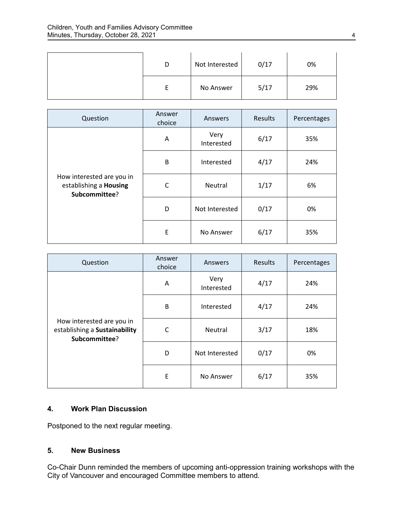| D | Not Interested | 0/17 | 0%  |
|---|----------------|------|-----|
|   | No Answer      | 5/17 | 29% |

| Question                                                             | Answer<br>choice | Answers            | Results | Percentages |
|----------------------------------------------------------------------|------------------|--------------------|---------|-------------|
| How interested are you in<br>establishing a Housing<br>Subcommittee? | A                | Very<br>Interested | 6/17    | 35%         |
|                                                                      | B                | Interested         | 4/17    | 24%         |
|                                                                      | C                | Neutral            | 1/17    | 6%          |
|                                                                      | D                | Not Interested     | 0/17    | 0%          |
|                                                                      | E                | No Answer          | 6/17    | 35%         |

| Question                                                                    | Answer<br>choice | Answers            | Results | Percentages |
|-----------------------------------------------------------------------------|------------------|--------------------|---------|-------------|
| How interested are you in<br>establishing a Sustainability<br>Subcommittee? | A                | Very<br>Interested | 4/17    | 24%         |
|                                                                             | B                | Interested         | 4/17    | 24%         |
|                                                                             | C                | Neutral            | 3/17    | 18%         |
|                                                                             | D                | Not Interested     | 0/17    | 0%          |
|                                                                             | E                | No Answer          | 6/17    | 35%         |

## **4. Work Plan Discussion**

Postponed to the next regular meeting.

# **5. New Business**

Co-Chair Dunn reminded the members of upcoming anti-oppression training workshops with the City of Vancouver and encouraged Committee members to attend.